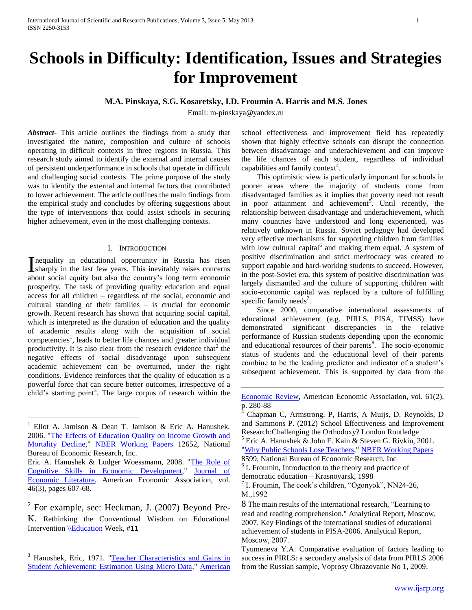# **Schools in Difficulty: Identification, Issues and Strategies for Improvement**

## **M.A. Pinskaya, S.G. Kosaretsky, I.D. Froumin A. Harris and M.S. Jones**

Email: m-pinskaya@yandex.ru

 $\overline{a}$ 

*Abstract***-** This article outlines the findings from a study that investigated the nature, composition and culture of schools operating in difficult contexts in three regions in Russia. This research study aimed to identify the external and internal causes of persistent underperformance in schools that operate in difficult and challenging social contexts. The prime purpose of the study was to identify the external and internal factors that contributed to lower achievement. The article outlines the main findings from the empirical study and concludes by offering suggestions about the type of interventions that could assist schools in securing higher achievement, even in the most challenging contexts.

#### I. INTRODUCTION

Inequality in educational opportunity in Russia has risen sharply in the last few years. This inevitably raises concerns sharply in the last few years. This inevitably raises concerns about social equity but also the country's long term economic prosperity. The task of providing quality education and equal access for all children – regardless of the social, economic and cultural standing of their families – is crucial for economic growth. Recent research has shown that acquiring social capital, which is interpreted as the duration of education and the quality of academic results along with the acquisition of social competencies<sup>1</sup>, leads to better life chances and greater individual productivity. It is also clear from the research evidence that<sup>2</sup> the negative effects of social disadvantage upon subsequent academic achievement can be overturned, under the right conditions. Evidence reinforces that the quality of education is a powerful force that can secure better outcomes, irrespective of a child's starting point<sup>3</sup>. The large corpus of research within the

 $\overline{a}$ 

school effectiveness and improvement field has repeatedly shown that highly effective schools can disrupt the connection between disadvantage and underachievement and can improve the life chances of each student, regardless of individual capabilities and family context<sup>4</sup>.

 This optimistic view is particularly important for schools in poorer areas where the majority of students come from disadvantaged families as it implies that poverty need not result in poor attainment and achievement<sup>5</sup>. Until recently, the relationship between disadvantage and underachievement, which many countries have understood and long experienced, was relatively unknown in Russia. Soviet pedagogy had developed very effective mechanisms for supporting children from families with low cultural capital<sup>6</sup> and making them equal. A system of positive discrimination and strict meritocracy was created to support capable and hard-working students to succeed. However, in the post-Soviet era, this system of positive discrimination was largely dismantled and the culture of supporting children with socio-economic capital was replaced by a culture of fulfilling specific family needs<sup>7</sup>.

 Since 2000, comparative international assessments of educational achievement (e.g. PIRLS, PISA, TIMSS) have demonstrated significant discrepancies in the relative performance of Russian students depending upon the economic and educational resources of their parents<sup>8</sup>. The socio-economic status of students and the educational level of their parents combine to be the leading predictor and indicator of a student's subsequent achievement. This is supported by data from the

<sup>&</sup>lt;sup>1</sup> Eliot A. Jamison & Dean T. Jamison & Eric A. Hanushek, 2006. ["The Effects of Education Quality on Income Growth and](http://ideas.repec.org/p/nbr/nberwo/12652.html)  [Mortality Decline,](http://ideas.repec.org/p/nbr/nberwo/12652.html)" [NBER Working Papers](http://ideas.repec.org/s/nbr/nberwo.html) 12652, National Bureau of Economic Research, Inc.

Eric A. Hanushek & Ludger Woessmann, 2008. ["The Role of](http://ideas.repec.org/a/aea/jeclit/v46y2008i3p607-68.html)  [Cognitive Skills in Economic Development,"](http://ideas.repec.org/a/aea/jeclit/v46y2008i3p607-68.html) [Journal of](http://ideas.repec.org/s/aea/jeclit.html)  [Economic Literature,](http://ideas.repec.org/s/aea/jeclit.html) American Economic Association, vol. 46(3), pages 607-68.

 $2^2$  For example, see: Heckman, J. (2007) Beyond Pre-K. Rethinking the Conventional Wisdom on Educational Intervention [\\Education](file://Education) Week, #**11**

<sup>&</sup>lt;sup>3</sup> Hanushek, Eric, 1971. "Teacher Characteristics and Gains in [Student Achievement: Estimation Using Micro Data,"](http://ideas.repec.org/a/aea/aecrev/v61y1971i2p280-88.html) [American](http://ideas.repec.org/s/aea/aecrev.html) 

[Economic Review,](http://ideas.repec.org/s/aea/aecrev.html) American Economic Association, vol. 61(2), p. 280-88

<sup>4</sup> Chapman C, Armstrong, P, Harris, A Muijs, D. Reynolds, D and Sammons P. (2012) School Effectiveness and Improvement Research:Challenging the Orthodoxy? London Routledge

 $<sup>5</sup>$  Eric A. Hanushek & John F. Kain & Steven G. Rivkin, 2001.</sup> ["Why Public Schools Lose Teachers,](http://ideas.repec.org/p/nbr/nberwo/8599.html)[" NBER Working Papers](http://ideas.repec.org/s/nbr/nberwo.html)

<sup>8599,</sup> National Bureau of Economic Research, Inc <sup>6</sup> I. Froumin, Introduction to the theory and practice of democratic education – Krasnoyarsk, 1998

<sup>&</sup>lt;sup>7</sup> I. Froumin, The cook's children, "Ogonyok", NN24-26, М.,1992

<sup>8</sup> The main results of the international research, "Learning to read and reading comprehension." Analytical Report, Moscow, 2007. Key Findings of the international studies of educational achievement of students in PISA-2006. Analytical Report, Moscow, 2007.

Tyumeneva Y.A. Comparative evaluation of factors leading to success in PIRLS: a secondary analysis of data from PIRLS 2006 from the Russian sample, Voprosy Obrazovanie No 1, 2009.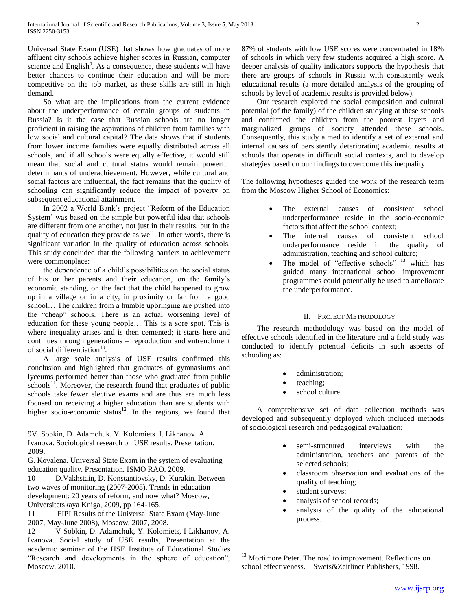Universal State Exam (USE) that shows how graduates of more affluent city schools achieve higher scores in Russian, computer science and English $\degree$ . As a consequence, these students will have better chances to continue their education and will be more competitive on the job market, as these skills are still in high demand.

 So what are the implications from the current evidence about the underperformance of certain groups of students in Russia? Is it the case that Russian schools are no longer proficient in raising the aspirations of children from families with low social and cultural capital? The data shows that if students from lower income families were equally distributed across all schools, and if all schools were equally effective, it would still mean that social and cultural status would remain powerful determinants of underachievement. However, while cultural and social factors are influential, the fact remains that the quality of schooling can significantly reduce the impact of poverty on subsequent educational attainment.

 In 2002 a World Bank's project "Reform of the Education System' was based on the simple but powerful idea that schools are different from one another, not just in their results, but in the quality of education they provide as well. In other words, there is significant variation in the quality of education across schools. This study concluded that the following barriers to achievement were commonplace:

 the dependence of a child's possibilities on the social status of his or her parents and their education, on the family's economic standing, on the fact that the child happened to grow up in a village or in a city, in proximity or far from a good school… The children from a humble upbringing are pushed into the "cheap" schools. There is an actual worsening level of education for these young people… This is a sore spot. This is where inequality arises and is then cemented; it starts here and continues through generations – reproduction and entrenchment of social differentiation<sup>10</sup>.

 A large scale analysis of USE results confirmed this conclusion and highlighted that graduates of gymnasiums and lyceums performed better than those who graduated from public  $schools<sup>11</sup>$ . Moreover, the research found that graduates of public schools take fewer elective exams and are thus are much less focused on receiving a higher education than are students with higher socio-economic status $12$ . In the regions, we found that

 $\overline{a}$ 

11 FIPI Results of the Universal State Exam (May-June 2007, May-June 2008), Moscow, 2007, 2008.

87% of students with low USE scores were concentrated in 18% of schools in which very few students acquired a high score. A deeper analysis of quality indicators supports the hypothesis that there are groups of schools in Russia with consistently weak educational results (a more detailed analysis of the grouping of schools by level of academic results is provided below).

 Our research explored the social composition and cultural potential (of the family) of the children studying at these schools and confirmed the children from the poorest layers and marginalized groups of society attended these schools. Consequently, this study aimed to identify a set of external and internal causes of persistently deteriorating academic results at schools that operate in difficult social contexts, and to develop strategies based on our findings to overcome this inequality.

The following hypotheses guided the work of the research team from the Moscow Higher School of Economics:

- The external causes of consistent school underperformance reside in the socio-economic factors that affect the school context;
- The internal causes of consistent school underperformance reside in the quality of administration, teaching and school culture;
- The model of "effective schools" <sup>13</sup> which has guided many international school improvement programmes could potentially be used to ameliorate the underperformance.

## II. PROJECT METHODOLOGY

 The research methodology was based on the model of effective schools identified in the literature and a field study was conducted to identify potential deficits in such aspects of schooling as:

- administration;
- teaching;
- school culture.

 A comprehensive set of data collection methods was developed and subsequently deployed which included methods of sociological research and pedagogical evaluation:

- semi-structured interviews with the administration, teachers and parents of the selected schools;
- classroom observation and evaluations of the quality of teaching;
- student surveys;

 $\overline{a}$ 

- analysis of school records;
- analysis of the quality of the educational process.

<sup>9</sup>V. Sobkin, D. Adamchuk. Y. Kolomiets. I. Likhanov. A. Ivanova. Sociological research on USE results. Presentation. 2009.

G. Kovalena. Universal State Exam in the system of evaluating education quality. Presentation. ISMO RAO. 2009.

<sup>10</sup> D.Vakhstain, D. Konstantiovsky, D. Kurakin. Between two waves of monitoring (2007-2008). Trends in education development: 20 years of reform, and now what? Moscow, Universitetskaya Kniga, 2009, pp 164-165.

<sup>12</sup> V Sobkin, D. Adamchuk, Y. Kolomiets, I Likhanov, A. Ivanova. Social study of USE results, Presentation at the academic seminar of the HSE Institute of Educational Studies "Research and developments in the sphere of education", Moscow, 2010.

<sup>&</sup>lt;sup>13</sup> Mortimore Peter. The road to improvement. Reflections on school effectiveness. – Swets&Zeitliner Publishers, 1998.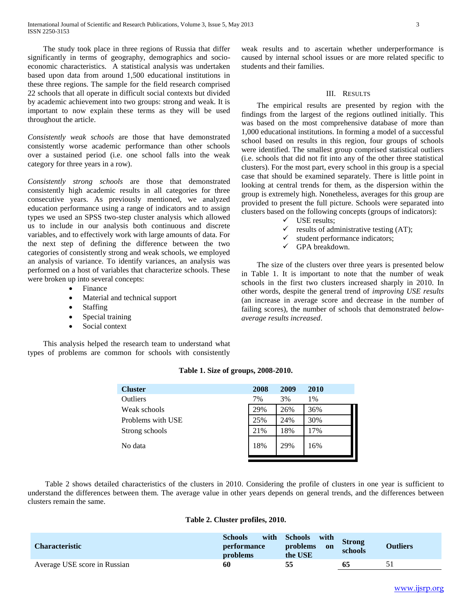The study took place in three regions of Russia that differ significantly in terms of geography, demographics and socioeconomic characteristics. A statistical analysis was undertaken based upon data from around 1,500 educational institutions in these three regions. The sample for the field research comprised 22 schools that all operate in difficult social contexts but divided by academic achievement into two groups: strong and weak. It is important to now explain these terms as they will be used throughout the article.

*Consistently weak schools* are those that have demonstrated consistently worse academic performance than other schools over a sustained period (i.e. one school falls into the weak category for three years in a row).

*Consistently strong schools* are those that demonstrated consistently high academic results in all categories for three consecutive years. As previously mentioned, we analyzed education performance using a range of indicators and to assign types we used an SPSS two-step cluster analysis which allowed us to include in our analysis both continuous and discrete variables, and to effectively work with large amounts of data. For the next step of defining the difference between the two categories of consistently strong and weak schools, we employed an analysis of variance. To identify variances, an analysis was performed on a host of variables that characterize schools. These were broken up into several concepts:

- Finance
- Material and technical support
- Staffing
- Special training
- Social context

 This analysis helped the research team to understand what types of problems are common for schools with consistently

weak results and to ascertain whether underperformance is caused by internal school issues or are more related specific to students and their families.

#### III. RESULTS

 The empirical results are presented by region with the findings from the largest of the regions outlined initially. This was based on the most comprehensive database of more than 1,000 educational institutions. In forming a model of a successful school based on results in this region, four groups of schools were identified. The smallest group comprised statistical outliers (i.e. schools that did not fit into any of the other three statistical clusters). For the most part, every school in this group is a special case that should be examined separately. There is little point in looking at central trends for them, as the dispersion within the group is extremely high. Nonetheless, averages for this group are provided to present the full picture. Schools were separated into clusters based on the following concepts (groups of indicators):

- $\checkmark$  USE results;
- $\checkmark$  results of administrative testing (AT);
- $\checkmark$  student performance indicators;
- GPA breakdown.

 The size of the clusters over three years is presented below in Table 1. It is important to note that the number of weak schools in the first two clusters increased sharply in 2010. In other words, despite the general trend of *improving USE results* (an increase in average score and decrease in the number of failing scores), the number of schools that demonstrated *belowaverage results increased*.

| <b>Cluster</b>    | 2008 | 2009 | 2010 |
|-------------------|------|------|------|
| Outliers          | 7%   | 3%   | 1%   |
| Weak schools      | 29%  | 26%  | 36%  |
| Problems with USE | 25%  | 24%  | 30%  |
| Strong schools    | 21%  | 18%  | 17%  |
| No data           | 18%  | 29%  | 16%  |
|                   |      |      |      |

#### **Table 1. Size of groups, 2008-2010.**

 Table 2 shows detailed characteristics of the clusters in 2010. Considering the profile of clusters in one year is sufficient to understand the differences between them. The average value in other years depends on general trends, and the differences between clusters remain the same.

#### **Table 2. Cluster profiles, 2010.**

| <b>Characteristic</b>        | <b>Schools</b><br><i>performance</i><br>problems | with Schools<br>with<br>problems<br>on<br>the USE | <b>Strong</b><br>schools | <b>Outliers</b> |
|------------------------------|--------------------------------------------------|---------------------------------------------------|--------------------------|-----------------|
| Average USE score in Russian | 60                                               |                                                   |                          |                 |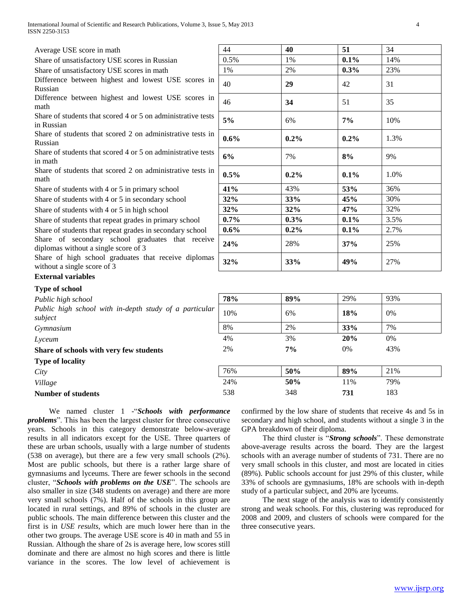| Average USE score in math                                                                | 44      | 40      | 51      | 34   |
|------------------------------------------------------------------------------------------|---------|---------|---------|------|
| Share of unsatisfactory USE scores in Russian                                            | 0.5%    | 1%      | 0.1%    | 14%  |
| Share of unsatisfactory USE scores in math                                               | 1%      | 2%      | 0.3%    | 23%  |
| Difference between highest and lowest USE scores in<br>Russian                           | 40      | 29      | 42      | 31   |
| Difference between highest and lowest USE scores in<br>math                              | 46      | 34      | 51      | 35   |
| Share of students that scored 4 or 5 on administrative tests<br>in Russian               | 5%      | 6%      | 7%      | 10%  |
| Share of students that scored 2 on administrative tests in<br>Russian                    | $0.6\%$ | $0.2\%$ | $0.2\%$ | 1.3% |
| Share of students that scored 4 or 5 on administrative tests<br>in math                  | 6%      | 7%      | 8%      | 9%   |
| Share of students that scored 2 on administrative tests in<br>math                       | $0.5\%$ | $0.2\%$ | $0.1\%$ | 1.0% |
| Share of students with 4 or 5 in primary school                                          | 41%     | 43%     | 53%     | 36%  |
| Share of students with 4 or 5 in secondary school                                        | 32%     | 33%     | 45%     | 30%  |
| Share of students with 4 or 5 in high school                                             | 32%     | 32%     | 47%     | 32%  |
| Share of students that repeat grades in primary school                                   | $0.7\%$ | $0.3\%$ | $0.1\%$ | 3.5% |
| Share of students that repeat grades in secondary school                                 | $0.6\%$ | $0.2\%$ | $0.1\%$ | 2.7% |
| Share of secondary school graduates that receive<br>diplomas without a single score of 3 | 24%     | 28%     | 37%     | 25%  |
|                                                                                          |         |         |         |      |

Share of high school graduates that receive diplomas  $\begin{array}{|l|l|l|l|l|} \hline \text{state of high school galaxies that receive uppoints} & 32\% & 33\% & 49\% & 27\% \hline \end{array}$ 

## **External variables**

## **Type of school**

| Public high school                                                | 78% | 89% | 29% | 93% |
|-------------------------------------------------------------------|-----|-----|-----|-----|
| Public high school with in-depth study of a particular<br>subject | 10% | 6%  | 18% | 0%  |
| Gymnasium                                                         | 8%  | 2%  | 33% | 7%  |
| Lyceum                                                            | 4%  | 3%  | 20% | 0%  |
| Share of schools with very few students                           | 2%  | 7%  | 0%  | 43% |
| <b>Type of locality</b>                                           |     |     |     |     |
| City                                                              | 76% | 50% | 89% | 21% |
| Village                                                           | 24% | 50% | 11% | 79% |
| <b>Number of students</b>                                         | 538 | 348 | 731 | 183 |

 We named cluster 1 -"*Schools with performance problems*". This has been the largest cluster for three consecutive years. Schools in this category demonstrate below-average results in all indicators except for the USE. Three quarters of these are urban schools, usually with a large number of students (538 on average), but there are a few very small schools (2%). Most are public schools, but there is a rather large share of gymnasiums and lyceums. There are fewer schools in the second cluster, "*Schools with problems on the USE*". The schools are also smaller in size (348 students on average) and there are more very small schools (7%). Half of the schools in this group are located in rural settings, and 89% of schools in the cluster are public schools. The main difference between this cluster and the first is in *USE results*, which are much lower here than in the other two groups. The average USE score is 40 in math and 55 in Russian. Although the share of 2s is average here, low scores still dominate and there are almost no high scores and there is little variance in the scores. The low level of achievement is

confirmed by the low share of students that receive 4s and 5s in secondary and high school, and students without a single 3 in the GPA breakdown of their diploma.

 The third cluster is "*Strong schools*". These demonstrate above-average results across the board. They are the largest schools with an average number of students of 731. There are no very small schools in this cluster, and most are located in cities (89%). Public schools account for just 29% of this cluster, while 33% of schools are gymnasiums, 18% are schools with in-depth study of a particular subject, and 20% are lyceums.

 The next stage of the analysis was to identify consistently strong and weak schools. For this, clustering was reproduced for 2008 and 2009, and clusters of schools were compared for the three consecutive years.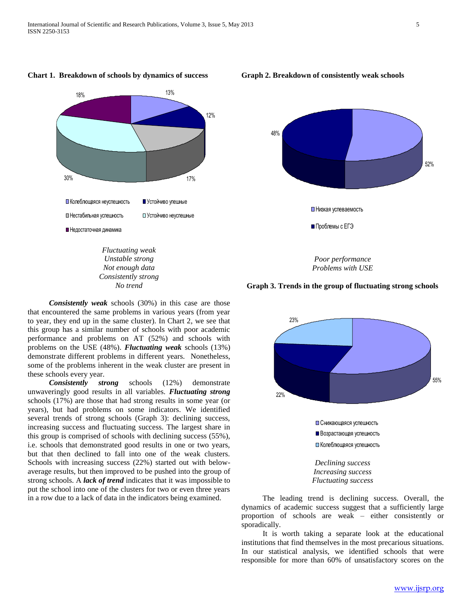

 *Consistently weak* schools (30%) in this case are those that encountered the same problems in various years (from year to year, they end up in the same cluster). In Chart 2, we see that this group has a similar number of schools with poor academic performance and problems on AT (52%) and schools with problems on the USE (48%). *Fluctuating weak* schools (13%) demonstrate different problems in different years. Nonetheless, some of the problems inherent in the weak cluster are present in these schools every year.

 *Consistently strong* schools (12%) demonstrate unwaveringly good results in all variables. *Fluctuating strong* schools (17%) are those that had strong results in some year (or years), but had problems on some indicators. We identified several trends of strong schools (Graph 3): declining success, increasing success and fluctuating success. The largest share in this group is comprised of schools with declining success (55%), i.e. schools that demonstrated good results in one or two years, but that then declined to fall into one of the weak clusters. Schools with increasing success (22%) started out with belowaverage results, but then improved to be pushed into the group of strong schools. A *lack of trend* indicates that it was impossible to put the school into one of the clusters for two or even three years in a row due to a lack of data in the indicators being examined.

**Graph 2. Breakdown of consistently weak schools**



**Graph 3. Trends in the group of fluctuating strong schools**



 The leading trend is declining success. Overall, the dynamics of academic success suggest that a sufficiently large proportion of schools are weak – either consistently or sporadically.

 It is worth taking a separate look at the educational institutions that find themselves in the most precarious situations. In our statistical analysis, we identified schools that were responsible for more than 60% of unsatisfactory scores on the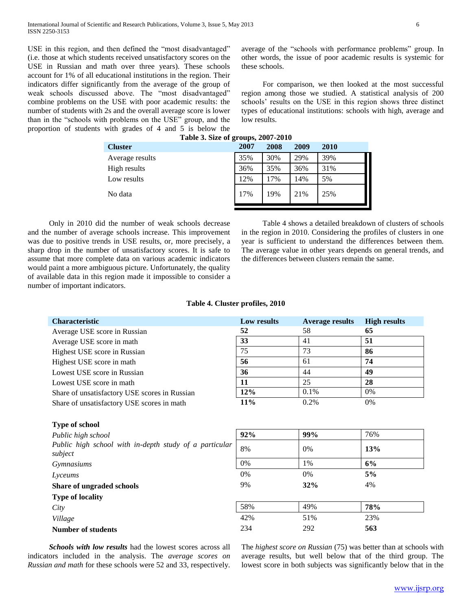USE in this region, and then defined the "most disadvantaged" (i.e. those at which students received unsatisfactory scores on the USE in Russian and math over three years). These schools account for 1% of all educational institutions in the region. Their indicators differ significantly from the average of the group of weak schools discussed above. The "most disadvantaged" combine problems on the USE with poor academic results: the number of students with 2s and the overall average score is lower than in the "schools with problems on the USE" group, and the proportion of students with grades of 4 and 5 is below the average of the "schools with performance problems" group. In other words, the issue of poor academic results is systemic for these schools.

 For comparison, we then looked at the most successful region among those we studied. A statistical analysis of 200 schools' results on the USE in this region shows three distinct types of educational institutions: schools with high, average and low results.

| Table 3. Size of groups, 2007-2010 |      |      |      |      |  |  |  |
|------------------------------------|------|------|------|------|--|--|--|
| <b>Cluster</b>                     | 2007 | 2008 | 2009 | 2010 |  |  |  |
| Average results                    | 35%  | 30%  | 29%  | 39%  |  |  |  |
| High results                       | 36%  | 35%  | 36%  | 31%  |  |  |  |
| Low results                        | 12%  | 17%  | 14%  | 5%   |  |  |  |
| No data                            | 17%  | 19%  | 21%  | 25%  |  |  |  |

 Only in 2010 did the number of weak schools decrease and the number of average schools increase. This improvement was due to positive trends in USE results, or, more precisely, a sharp drop in the number of unsatisfactory scores. It is safe to assume that more complete data on various academic indicators would paint a more ambiguous picture. Unfortunately, the quality of available data in this region made it impossible to consider a number of important indicators.

 Table 4 shows a detailed breakdown of clusters of schools in the region in 2010. Considering the profiles of clusters in one year is sufficient to understand the differences between them. The average value in other years depends on general trends, and the differences between clusters remain the same.

#### **Table 4. Cluster profiles, 2010**

| <b>Characteristic</b>                         | Low results | <b>Average results</b> | <b>High results</b> |
|-----------------------------------------------|-------------|------------------------|---------------------|
| Average USE score in Russian                  | 52          | 58                     | 65                  |
| Average USE score in math                     | 33          | 41                     | 51                  |
| Highest USE score in Russian                  | 75          | 73                     | 86                  |
| Highest USE score in math                     | 56          | 61                     | 74                  |
| Lowest USE score in Russian                   | 36          | 44                     | 49                  |
| Lowest USE score in math                      | 11          | 25                     | 28                  |
| Share of unsatisfactory USE scores in Russian | 12%         | 0.1%                   | 0%                  |
| Share of unsatisfactory USE scores in math    | $11\%$      | 0.2%                   | $0\%$               |

| Type of school                                                    |       |     |     |  |
|-------------------------------------------------------------------|-------|-----|-----|--|
| Public high school                                                | 92%   | 99% | 76% |  |
| Public high school with in-depth study of a particular<br>subject | 8%    | 0%  | 13% |  |
| Gymnasiums                                                        | 0%    | 1%  | 6%  |  |
| Lyceums                                                           | $0\%$ | 0%  | 5%  |  |
| Share of ungraded schools                                         | 9%    | 32% | 4%  |  |
| <b>Type of locality</b>                                           |       |     |     |  |
| City                                                              | 58%   | 49% | 78% |  |
| Village                                                           | 42%   | 51% | 23% |  |
| <b>Number of students</b>                                         | 234   | 292 | 563 |  |

 *Schools with low results* had the lowest scores across all indicators included in the analysis. The *average scores on Russian and math* for these schools were 52 and 33, respectively. The *highest score on Russian* (75) was better than at schools with average results, but well below that of the third group. The lowest score in both subjects was significantly below that in the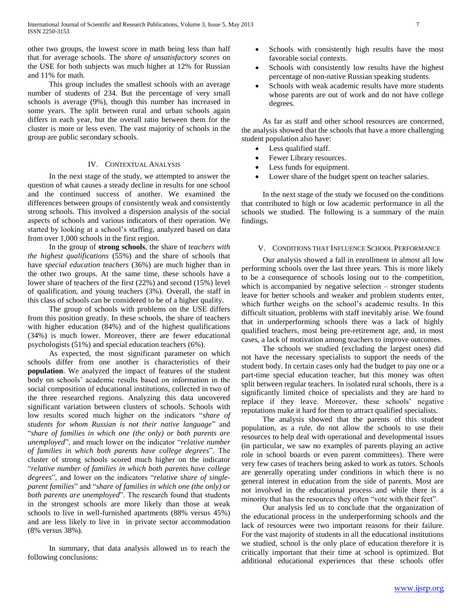other two groups, the lowest score in math being less than half that for average schools. The *share of unsatisfactory scores* on the USE for both subjects was much higher at 12% for Russian and 11% for math.

 This group includes the smallest schools with an average number of students of 234. But the percentage of very small schools is average (9%), though this number has increased in some years. The split between rural and urban schools again differs in each year, but the overall ratio between them for the cluster is more or less even. The vast majority of schools in the group are public secondary schools.

### IV. CONTEXTUAL ANALYSIS

 In the next stage of the study, we attempted to answer the question of what causes a steady decline in results for one school and the continued success of another. We examined the differences between groups of consistently weak and consistently strong schools. This involved a dispersion analysis of the social aspects of schools and various indicators of their operation. We started by looking at a school's staffing, analyzed based on data from over 1,000 schools in the first region.

 In the group of **strong schools**, the share of *teachers with the highest qualifications* (55%) and the share of schools that have *special education teachers* (36%) are much higher than in the other two groups. At the same time, these schools have a lower share of teachers of the first (22%) and second (15%) level of qualification, and young teachers (3%). Overall, the staff in this class of schools can be considered to be of a higher quality.

 The group of schools with problems on the USE differs from this position greatly. In these schools, the share of teachers with higher education (84%) and of the highest qualifications (34%) is much lower. Moreover, there are fewer educational psychologists (51%) and special education teachers (6%).

 As expected, the most significant parameter on which schools differ from one another is characteristics of their **population**. We analyzed the impact of features of the student body on schools' academic results based on information in the social composition of educational institutions, collected in two of the three researched regions. Analyzing this data uncovered significant variation between clusters of schools. Schools with low results scored much higher on the indicators "*share of students for whom Russian is not their native language*" and "*share of families in which one (the only) or both parents are unemployed*", and much lower on the indicator "*relative number of families in which both parents have college degrees*". The cluster of strong schools scored much higher on the indicator "*relative number of families in which both parents have college degrees*", and lower on the indicators "*relative share of singleparent families*" and "*share of families in which one (the only) or both parents are unemployed*". The research found that students in the strongest schools are more likely than those at weak schools to live in well-furnished apartments (88% versus 45%) and are less likely to live in in private sector accommodation (8% versus 38%).

 In summary, that data analysis allowed us to reach the following conclusions:

- Schools with consistently high results have the most favorable social contexts.
- Schools with consistently low results have the highest percentage of non-native Russian speaking students.
- Schools with weak academic results have more students whose parents are out of work and do not have college degrees.

 As far as staff and other school resources are concerned, the analysis showed that the schools that have a more challenging student population also have:

- Less qualified staff.
- Fewer Library resources.
- Less funds for equipment.
- Lower share of the budget spent on teacher salaries.

 In the next stage of the study we focused on the conditions that contributed to high or low academic performance in all the schools we studied. The following is a summary of the main findings.

#### V. CONDITIONS THAT INFLUENCE SCHOOL PERFORMANCE

 Our analysis showed a fall in enrollment in almost all low performing schools over the last three years. This is more likely to be a consequence of schools losing out to the competition, which is accompanied by negative selection – stronger students leave for better schools and weaker and problem students enter, which further weighs on the school's academic results. In this difficult situation, problems with staff inevitably arise. We found that in underperforming schools there was a lack of highly qualified teachers, most being pre-retirement age, and, in most cases, a lack of motivation among teachers to improve outcomes.

 The schools we studied (excluding the largest ones) did not have the necessary specialists to support the needs of the student body. In certain cases only had the budget to pay one or a part-time special education teacher, but this money was often split between regular teachers. In isolated rural schools, there is a significantly limited choice of specialists and they are hard to replace if they leave. Moreover, these schools' negative reputations make it hard for them to attract qualified specialists.

 The analysis showed that the parents of this student population, as a rule, do not allow the schools to use their resources to help deal with operational and developmental issues (in particular, we saw no examples of parents playing an active role in school boards or even parent committees). There were very few cases of teachers being asked to work as tutors. Schools are generally operating under conditions in which there is no general interest in education from the side of parents. Most are not involved in the educational process and while there is a minority that has the resources they often "vote with their feet".

 Our analysis led us to conclude that the organization of the educational process in the underperforming schools and the lack of resources were two important reasons for their failure. For the vast majority of students in all the educational institutions we studied, school is the only place of education therefore it is critically important that their time at school is optimized. But additional educational experiences that these schools offer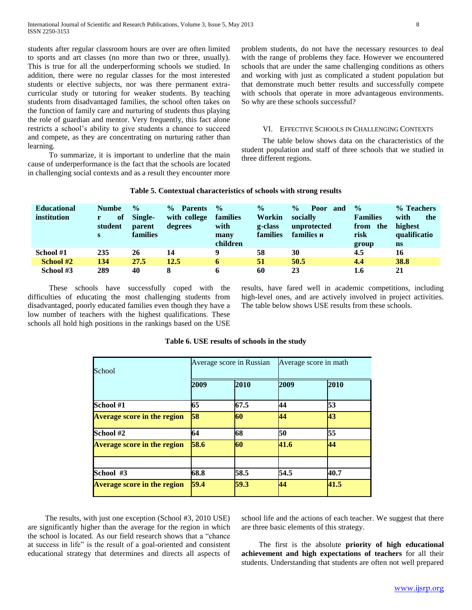students after regular classroom hours are over are often limited to sports and art classes (no more than two or three, usually). This is true for all the underperforming schools we studied. In addition, there were no regular classes for the most interested students or elective subjects, nor was there permanent extracurricular study or tutoring for weaker students. By teaching students from disadvantaged families, the school often takes on the function of family care and nurturing of students thus playing the role of guardian and mentor. Very frequently, this fact alone restricts a school's ability to give students a chance to succeed and compete, as they are concentrating on nurturing rather than learning.

 To summarize, it is important to underline that the main cause of underperformance is the fact that the schools are located in challenging social contexts and as a result they encounter more

problem students, do not have the necessary resources to deal with the range of problems they face. However we encountered schools that are under the same challenging conditions as others and working with just as complicated a student population but that demonstrate much better results and successfully compete with schools that operate in more advantageous environments. So why are these schools successful?

### VI. EFFECTIVE SCHOOLS IN CHALLENGING CONTEXTS

 The table below shows data on the characteristics of the student population and staff of three schools that we studied in three different regions.

#### **Table 5. Contextual characteristics of schools with strong results**

| <b>Educational</b><br>institution | <b>Numbe</b><br>of<br>student<br>S | $\frac{0}{0}$<br>Single-<br>parent<br><b>families</b> | $\frac{0}{0}$<br><b>Parents</b><br>with college<br>degrees | $\frac{0}{0}$<br>families<br>with<br>many<br>children | $\frac{6}{9}$<br>Workin<br>g-class<br>families | $\frac{0}{0}$<br>Poor<br>and<br>socially<br>unprotected<br>families и | $\frac{0}{0}$<br><b>Families</b><br>the<br>from<br>risk<br>group | % Teachers<br>with<br>the<br>highest<br>qualificatio<br>$\mathbf{n}$ s |
|-----------------------------------|------------------------------------|-------------------------------------------------------|------------------------------------------------------------|-------------------------------------------------------|------------------------------------------------|-----------------------------------------------------------------------|------------------------------------------------------------------|------------------------------------------------------------------------|
| School #1                         | 235                                | 26                                                    | 14                                                         | Q                                                     | 58                                             | 30                                                                    | 4.5                                                              | 16                                                                     |
| School #2                         | 134                                | 27.5                                                  | 12.5                                                       | 6                                                     | 51                                             | 50.5                                                                  | 4.4                                                              | 38.8                                                                   |
| School #3                         | 289                                | 40                                                    |                                                            |                                                       | 60                                             | 23                                                                    | 1.6                                                              | 21                                                                     |

 These schools have successfully coped with the difficulties of educating the most challenging students from disadvantaged, poorly educated families even though they have a low number of teachers with the highest qualifications. These schools all hold high positions in the rankings based on the USE results, have fared well in academic competitions, including high-level ones, and are actively involved in project activities. The table below shows USE results from these schools.

| School                             |      | Average score in Russian |      | Average score in math |  |
|------------------------------------|------|--------------------------|------|-----------------------|--|
|                                    | 2009 | 2010                     | 2009 | 2010                  |  |
| School #1                          | 65   | 67.5                     | 44   | 53                    |  |
| <b>Average score in the region</b> | 58   | 60                       | 44   | 43                    |  |
| School #2                          | 64   | 68                       | 50   | 55                    |  |
| <b>Average score in the region</b> | 58.6 | 60                       | 41.6 | 44                    |  |
|                                    |      |                          |      |                       |  |
| School #3                          | 68.8 | 58.5                     | 54.5 | 40.7                  |  |
| <b>Average score in the region</b> | 59.4 | 59.3                     | 44   | 41.5                  |  |

#### **Table 6. USE results of schools in the study**

 The results, with just one exception (School #3, 2010 USE) are significantly higher than the average for the region in which the school is located. As our field research shows that a "chance at success in life" is the result of a goal-oriented and consistent educational strategy that determines and directs all aspects of school life and the actions of each teacher. We suggest that there are three basic elements of this strategy.

 The first is the absolute **priority of high educational achievement and high expectations of teachers** for all their students. Understanding that students are often not well prepared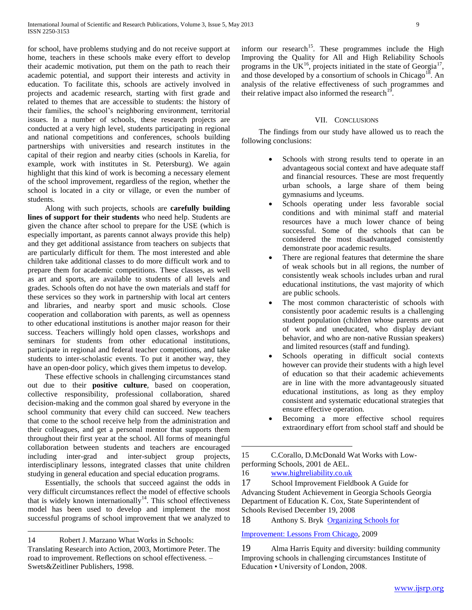for school, have problems studying and do not receive support at home, teachers in these schools make every effort to develop their academic motivation, put them on the path to reach their academic potential, and support their interests and activity in education. To facilitate this, schools are actively involved in projects and academic research, starting with first grade and related to themes that are accessible to students: the history of their families, the school's neighboring environment, territorial issues. In a number of schools, these research projects are conducted at a very high level, students participating in regional and national competitions and conferences, schools building partnerships with universities and research institutes in the capital of their region and nearby cities (schools in Karelia, for example, work with institutes in St. Petersburg). We again highlight that this kind of work is becoming a necessary element of the school improvement, regardless of the region, whether the school is located in a city or village, or even the number of students.

 Along with such projects, schools are **carefully building lines of support for their students** who need help. Students are given the chance after school to prepare for the USE (which is especially important, as parents cannot always provide this help) and they get additional assistance from teachers on subjects that are particularly difficult for them. The most interested and able children take additional classes to do more difficult work and to prepare them for academic competitions. These classes, as well as art and sports, are available to students of all levels and grades. Schools often do not have the own materials and staff for these services so they work in partnership with local art centers and libraries, and nearby sport and music schools. Close cooperation and collaboration with parents, as well as openness to other educational institutions is another major reason for their success. Teachers willingly hold open classes, workshops and seminars for students from other educational institutions, participate in regional and federal teacher competitions, and take students to inter-scholastic events. To put it another way, they have an open-door policy, which gives them impetus to develop.

 These effective schools in challenging circumstances stand out due to their **positive culture**, based on cooperation, collective responsibility, professional collaboration, shared decision-making and the common goal shared by everyone in the school community that every child can succeed. New teachers that come to the school receive help from the administration and their colleagues, and get a personal mentor that supports them throughout their first year at the school. All forms of meaningful collaboration between students and teachers are encouraged including inter-grad and inter-subject group projects, interdisciplinary lessons, integrated classes that unite children studying in general education and special education programs.

 Essentially, the schools that succeed against the odds in very difficult circumstances reflect the model of effective schools that is widely known internationally<sup>14</sup>. This school effectiveness model has been used to develop and implement the most successful programs of school improvement that we analyzed to

14 Robert J. Marzano What Works in Schools:

 $\overline{a}$ 

inform our research<sup>15</sup>. These programmes include the High Improving the Quality for All and High Reliability Schools programs in the UK<sup>16</sup>, projects initiated in the state of Georgia<sup>17</sup>, and those developed by a consortium of schools in Chicago<sup>18</sup>. An analysis of the relative effectiveness of such programmes and their relative impact also informed the research<sup>19</sup> .

#### VII. CONCLUSIONS

 The findings from our study have allowed us to reach the following conclusions:

- Schools with strong results tend to operate in an advantageous social context and have adequate staff and financial resources. These are most frequently urban schools, a large share of them being gymnasiums and lyceums.
- Schools operating under less favorable social conditions and with minimal staff and material resources have a much lower chance of being successful. Some of the schools that can be considered the most disadvantaged consistently demonstrate poor academic results.
- There are regional features that determine the share of weak schools but in all regions, the number of consistently weak schools includes urban and rural educational institutions, the vast majority of which are public schools.
- The most common characteristic of schools with consistently poor academic results is a challenging student population (children whose parents are out of work and uneducated, who display deviant behavior, and who are non-native Russian speakers) and limited resources (staff and funding).
- Schools operating in difficult social contexts however can provide their students with a high level of education so that their academic achievements are in line with the more advantageously situated educational institutions, as long as they employ consistent and systematic educational strategies that ensure effective operation.
- Becoming a more effective school requires extraordinary effort from school staff and should be

 $\overline{a}$ 

17 School Improvement Fieldbook A Guide for Advancing Student Achievement in Georgia Schools Georgia Department of Education K. Cox, State Superintendent of Schools Revised December 19, 2008

18 Anthony S. Bryk Organizing Schools for

## [Improvement: Lessons From Chicago,](http://www.press.uchicago.edu/presssite/metadata.epl?isbn=9780226078007) 2009

19 Alma Harris Equity and diversity: building community Improving schools in challenging circumstances Institute of Education • University of London, 2008.

Translating Research into Action, 2003, Mortimore Peter. The road to improvement. Reflections on school effectiveness. – Swets&Zeitliner Publishers, 1998.

<sup>15</sup> C.Corallo, D.McDonald Wat Works with Lowperforming Schools, 2001 de AEL.

<sup>16</sup> [www.highreliability.co.uk](http://www.highreliability.co.uk/)